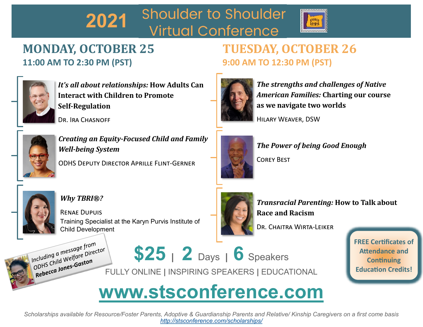## **Shoulder to Shoulder 2021 Virtual Conference**



# **MONDAY, OCTOBER 25 11:00 AM TO 2:30 PM (PST)**



*It's all about relationships:* **How Adults Can Interact with Children to Promote Self-Regulation** 

DR. IRA CHASNOFF



*Creating an Equity-Focused Child and Family Well-being System*

ODHS Deputy Director Aprille Flint-Gerner

# **TUESDAY, OCTOBER 26 9:00 AM TO 12:30 PM (PST)**



*The strengths and challenges of Native American Families:* **Charting our course as we navigate two worlds**

Hilary Weaver, DSW



*The Power of being Good Enough*

Corey Best



### *Why TBRI®?*

Renae Dupuis Training Specialist at the Karyn Purvis Institute of Child Development



*Transracial Parenting:* **How to Talk about Race and Racism**

Dr. Chaitra Wirta-Leiker

Including a message from<br>Including a message from<br>Lis Child Welfare pirect Including welfare<br>ODHS Child Welfare<br>Rebecca Jones-Gaston

**\$25 <sup>|</sup> 2** Days **<sup>|</sup> 6** Speakers ODHS Child West Gaston<br>
FULLY ONLINE | INSPIRING SPEAKERS | EDUCATIONAL

**FREE Certificates of Attendance and Continuing Education Credits!**

# **www.stsconference.com**

*Scholarships available for Resource/Foster Parents, Adoptive & Guardianship Parents and Relative/ Kinship Caregivers on a first come basis <http://stsconference.com/scholarships/>*